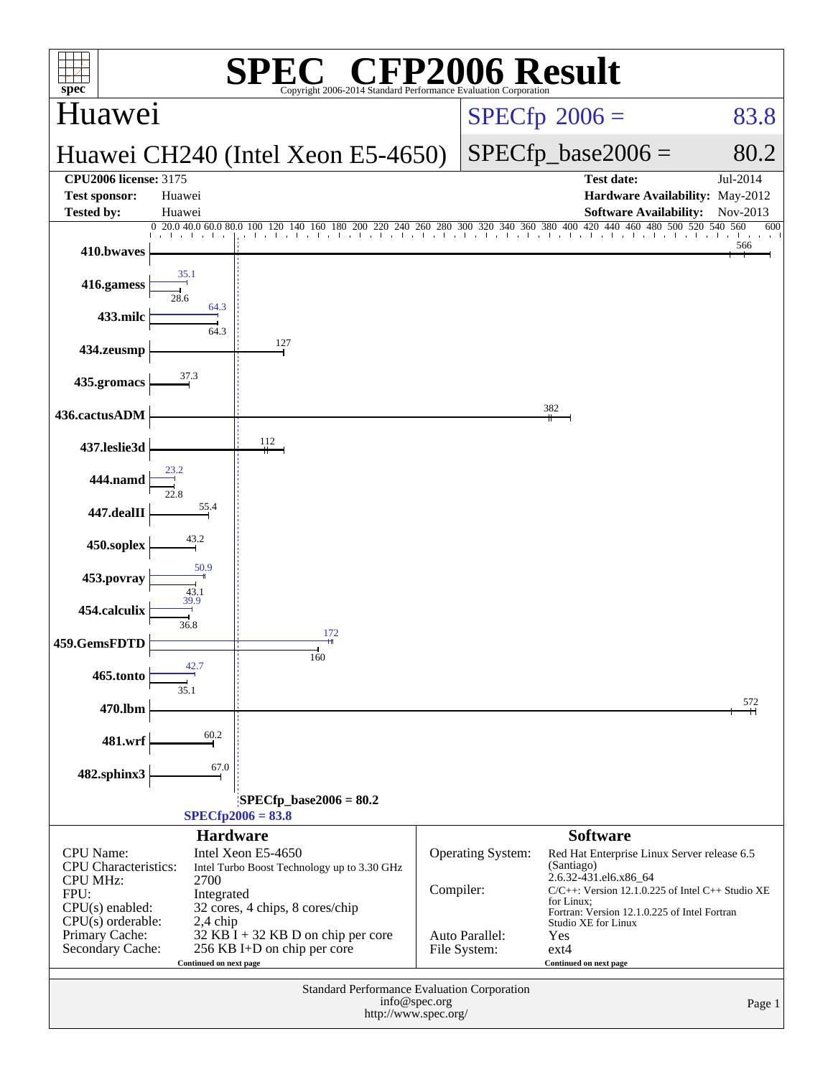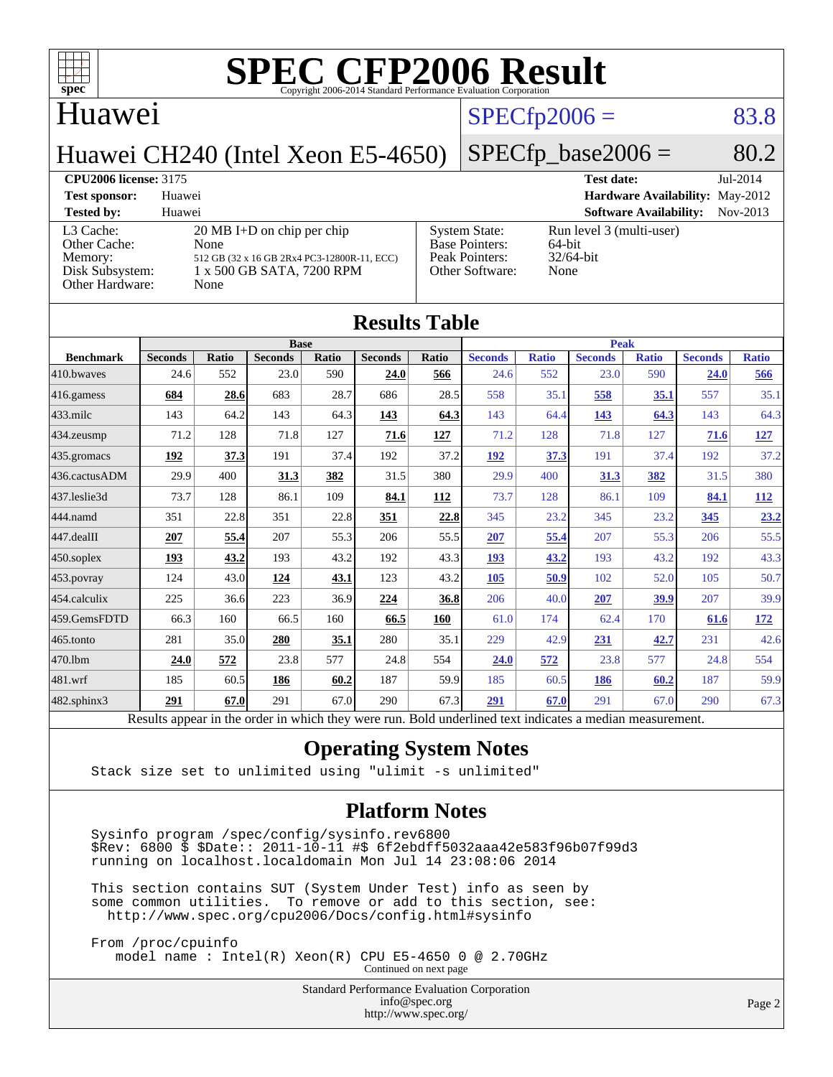

### Huawei

### $SPECTp2006 = 83.8$

 $SPECTp\_base2006 = 80.2$ 

**[Hardware Availability:](http://www.spec.org/auto/cpu2006/Docs/result-fields.html#HardwareAvailability)** May-2012 **[Software Availability:](http://www.spec.org/auto/cpu2006/Docs/result-fields.html#SoftwareAvailability)** Nov-2013

### Huawei CH240 (Intel Xeon E5-4650)

#### **[CPU2006 license:](http://www.spec.org/auto/cpu2006/Docs/result-fields.html#CPU2006license)** 3175 **[Test date:](http://www.spec.org/auto/cpu2006/Docs/result-fields.html#Testdate)** Jul-2014

| <b>Test sponsor:</b>                                                              | Huawei                                                                                                                           |                                                                                    | <b>Hardware Availal</b>                                       |  |  |  |
|-----------------------------------------------------------------------------------|----------------------------------------------------------------------------------------------------------------------------------|------------------------------------------------------------------------------------|---------------------------------------------------------------|--|--|--|
| <b>Tested by:</b>                                                                 | Huawei                                                                                                                           |                                                                                    | <b>Software Availabi</b>                                      |  |  |  |
| L3 Cache:<br>Other Cache:<br>Memory:<br>Disk Subsystem:<br><b>Other Hardware:</b> | $20 \text{ MB I+D}$ on chip per chip<br>None<br>512 GB (32 x 16 GB 2Rx4 PC3-12800R-11, ECC)<br>1 x 500 GB SATA, 7200 RPM<br>None | <b>System State:</b><br><b>Base Pointers:</b><br>Peak Pointers:<br>Other Software: | Run level 3 (multi-user)<br>$64$ -bit<br>$32/64$ -bit<br>None |  |  |  |

| <b>Results Table</b> |                |               |                |             |                |               |                |              |                |              |                |              |
|----------------------|----------------|---------------|----------------|-------------|----------------|---------------|----------------|--------------|----------------|--------------|----------------|--------------|
|                      | <b>Base</b>    |               |                | <b>Peak</b> |                |               |                |              |                |              |                |              |
| <b>Benchmark</b>     | <b>Seconds</b> | Ratio         | <b>Seconds</b> | Ratio       | <b>Seconds</b> | Ratio         | <b>Seconds</b> | <b>Ratio</b> | <b>Seconds</b> | <b>Ratio</b> | <b>Seconds</b> | <b>Ratio</b> |
| 410.bwayes           | 24.6           | 552           | 23.0           | 590         | 24.0           | 566           | 24.6           | 552          | 23.0           | 590          | 24.0           | 566          |
| 416.gamess           | 684            | 28.6          | 683            | 28.7        | 686            | 28.5          | 558            | 35.1         | 558            | 35.1         | 557            | 35.1         |
| 433.milc             | 143            | 64.2          | 143            | 64.3        | 143            | 64.3          | 143            | 64.4         | 143            | 64.3         | 143            | 64.3         |
| 434.zeusmp           | 71.2           | 128           | 71.8           | 127         | 71.6           | 127           | 71.2           | 128          | 71.8           | 127          | 71.6           | 127          |
| 435.gromacs          | 192            | 37.3          | 191            | 37.4        | 192            | 37.2          | 192            | 37.3         | 191            | 37.4         | 192            | 37.2         |
| 436.cactusADM        | 29.9           | 400           | 31.3           | 382         | 31.5           | 380           | 29.9           | 400          | 31.3           | 382          | 31.5           | 380          |
| 437.leslie3d         | 73.7           | 128           | 86.1           | 109         | 84.1           | 112           | 73.7           | 128          | 86.1           | 109          | 84.1           | 112          |
| 444.namd             | 351            | 22.8          | 351            | 22.8        | 351            | 22.8          | 345            | 23.2         | 345            | 23.2         | 345            | 23.2         |
| 447.dealII           | 207            | 55.4          | 207            | 55.3        | 206            | 55.5          | 207            | 55.4         | 207            | 55.3         | 206            | 55.5         |
| 450.soplex           | 193            | 43.2          | 193            | 43.2        | 192            | 43.3          | 193            | 43.2         | 193            | 43.2         | 192            | 43.3         |
| 453.povray           | 124            | 43.0          | 124            | 43.1        | 123            | 43.2          | 105            | 50.9         | 102            | 52.0         | 105            | 50.7         |
| 454.calculix         | 225            | 36.6          | 223            | 36.9        | 224            | 36.8          | 206            | 40.0         | 207            | 39.9         | 207            | 39.9         |
| 459.GemsFDTD         | 66.3           | 160           | 66.5           | 160         | 66.5           | 160           | 61.0           | 174          | 62.4           | 170          | 61.6           | <u>172</u>   |
| 465.tonto            | 281            | 35.0          | 280            | 35.1        | 280            | 35.1          | 229            | 42.9         | 231            | 42.7         | 231            | 42.6         |
| 470.1bm              | 24.0           | 572           | 23.8           | 577         | 24.8           | 554           | 24.0           | 572          | 23.8           | 577          | 24.8           | 554          |
| 481.wrf              | 185            | 60.5          | 186            | 60.2        | 187            | 59.9          | 185            | 60.5         | 186            | 60.2         | 187            | 59.9         |
| 482.sphinx3          | 291            | 67.0          | 291            | 67.0        | 290            | 67.3          | 291            | 67.0         | 291            | 67.0         | 290            | 67.3         |
|                      |                | $\sim$ $\sim$ |                |             |                | $\sim$ $\sim$ | .              | $\cdots$     | $\cdots$       |              |                |              |

Results appear in the [order in which they were run.](http://www.spec.org/auto/cpu2006/Docs/result-fields.html#RunOrder) Bold underlined text [indicates a median measurement.](http://www.spec.org/auto/cpu2006/Docs/result-fields.html#Median)

### **[Operating System Notes](http://www.spec.org/auto/cpu2006/Docs/result-fields.html#OperatingSystemNotes)**

Stack size set to unlimited using "ulimit -s unlimited"

#### **[Platform Notes](http://www.spec.org/auto/cpu2006/Docs/result-fields.html#PlatformNotes)**

 Sysinfo program /spec/config/sysinfo.rev6800  $$Rev: 6800 \$ $Date: 2011-10-11 # $ 6f2ebdff5032aaa42e583f96b07f99d3$ running on localhost.localdomain Mon Jul 14 23:08:06 2014

 This section contains SUT (System Under Test) info as seen by some common utilities. To remove or add to this section, see: <http://www.spec.org/cpu2006/Docs/config.html#sysinfo>

 From /proc/cpuinfo model name : Intel(R) Xeon(R) CPU E5-4650 0 @ 2.70GHz

Continued on next page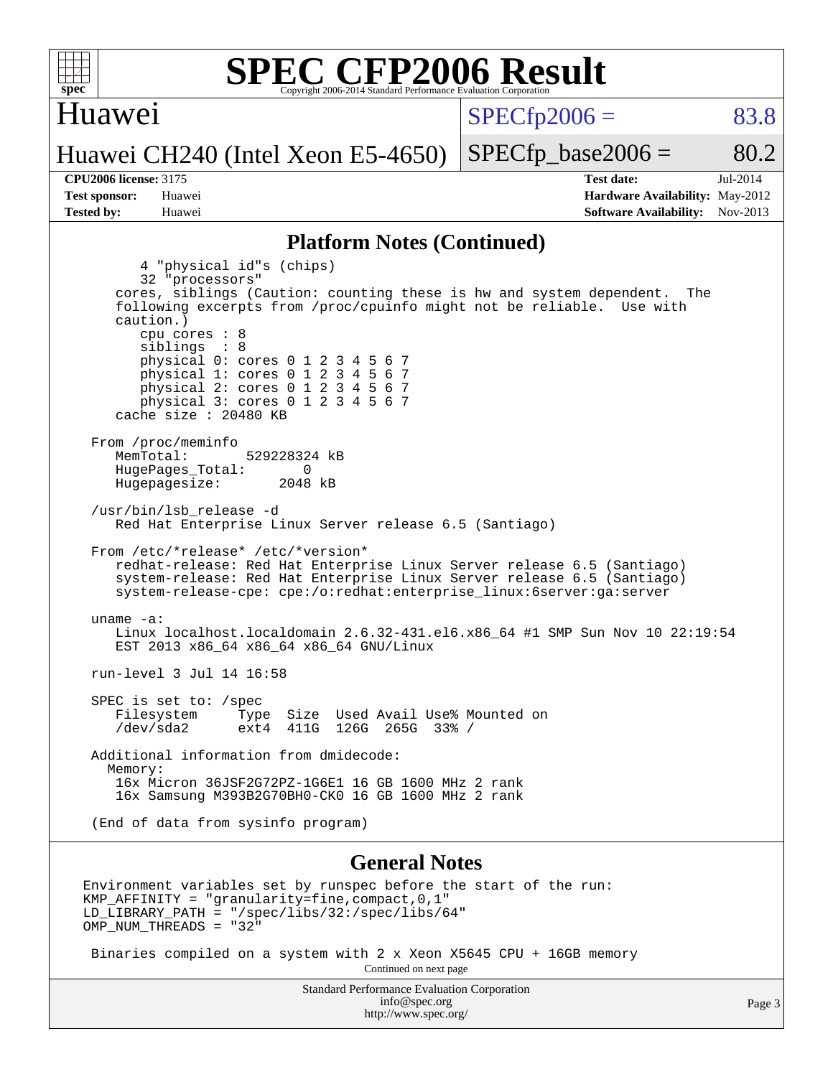

Environment variables set by runspec before the start of the run: KMP AFFINITY = "granularity=fine, compact,  $0,1$ " LD\_LIBRARY\_PATH = "/spec/libs/32:/spec/libs/64" OMP NUM THREADS = "32"

 Binaries compiled on a system with 2 x Xeon X5645 CPU + 16GB memory Continued on next page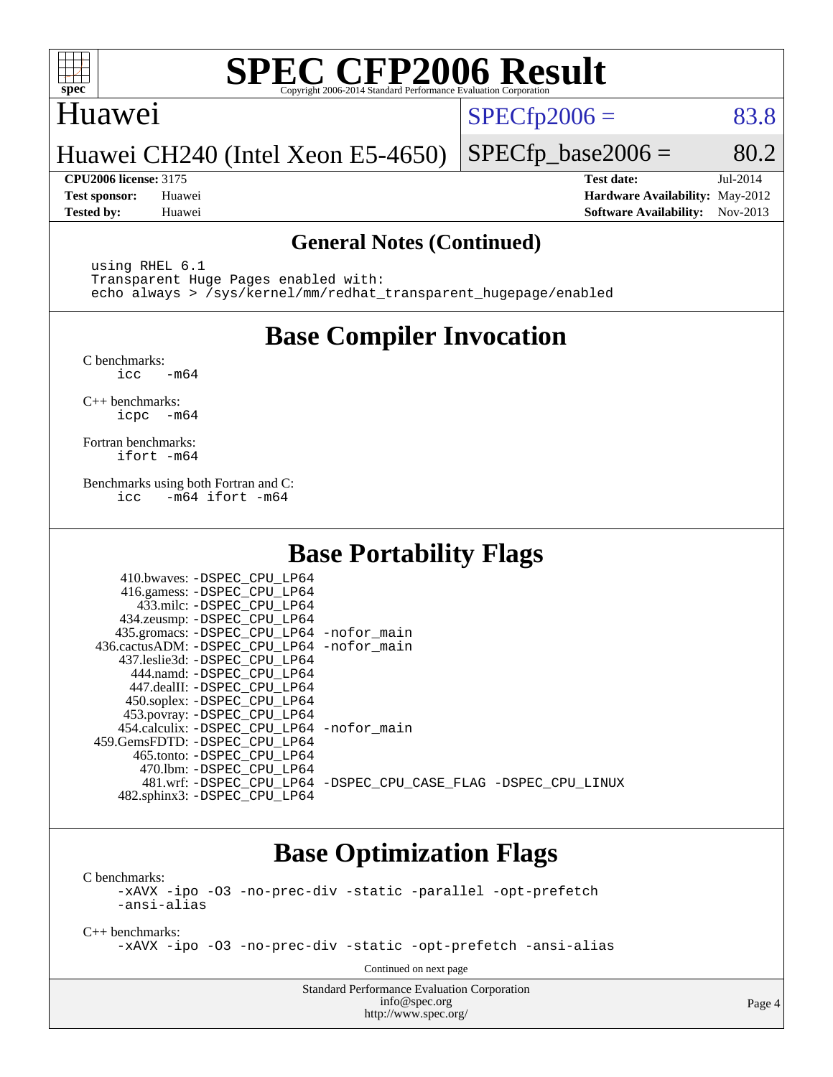

### Huawei

 $SPECTp2006 = 83.8$ 

Huawei CH240 (Intel Xeon E5-4650)

**[Tested by:](http://www.spec.org/auto/cpu2006/Docs/result-fields.html#Testedby)** Huawei **[Software Availability:](http://www.spec.org/auto/cpu2006/Docs/result-fields.html#SoftwareAvailability)** Nov-2013

**[CPU2006 license:](http://www.spec.org/auto/cpu2006/Docs/result-fields.html#CPU2006license)** 3175 **[Test date:](http://www.spec.org/auto/cpu2006/Docs/result-fields.html#Testdate)** Jul-2014 **[Test sponsor:](http://www.spec.org/auto/cpu2006/Docs/result-fields.html#Testsponsor)** Huawei **[Hardware Availability:](http://www.spec.org/auto/cpu2006/Docs/result-fields.html#HardwareAvailability)** May-2012

 $SPECTp\_base2006 = 80.2$ 

### **[General Notes \(Continued\)](http://www.spec.org/auto/cpu2006/Docs/result-fields.html#GeneralNotes)**

 using RHEL 6.1 Transparent Huge Pages enabled with: echo always > /sys/kernel/mm/redhat\_transparent\_hugepage/enabled

### **[Base Compiler Invocation](http://www.spec.org/auto/cpu2006/Docs/result-fields.html#BaseCompilerInvocation)**

[C benchmarks](http://www.spec.org/auto/cpu2006/Docs/result-fields.html#Cbenchmarks):  $\text{icc}$   $-\text{m64}$ 

[C++ benchmarks:](http://www.spec.org/auto/cpu2006/Docs/result-fields.html#CXXbenchmarks) [icpc -m64](http://www.spec.org/cpu2006/results/res2014q3/cpu2006-20140717-30498.flags.html#user_CXXbase_intel_icpc_64bit_bedb90c1146cab66620883ef4f41a67e)

[Fortran benchmarks](http://www.spec.org/auto/cpu2006/Docs/result-fields.html#Fortranbenchmarks): [ifort -m64](http://www.spec.org/cpu2006/results/res2014q3/cpu2006-20140717-30498.flags.html#user_FCbase_intel_ifort_64bit_ee9d0fb25645d0210d97eb0527dcc06e)

[Benchmarks using both Fortran and C](http://www.spec.org/auto/cpu2006/Docs/result-fields.html#BenchmarksusingbothFortranandC): [icc -m64](http://www.spec.org/cpu2006/results/res2014q3/cpu2006-20140717-30498.flags.html#user_CC_FCbase_intel_icc_64bit_0b7121f5ab7cfabee23d88897260401c) [ifort -m64](http://www.spec.org/cpu2006/results/res2014q3/cpu2006-20140717-30498.flags.html#user_CC_FCbase_intel_ifort_64bit_ee9d0fb25645d0210d97eb0527dcc06e)

### **[Base Portability Flags](http://www.spec.org/auto/cpu2006/Docs/result-fields.html#BasePortabilityFlags)**

| 410.bwaves: -DSPEC CPU LP64<br>416.gamess: -DSPEC_CPU_LP64<br>433.milc: -DSPEC CPU LP64<br>434.zeusmp: -DSPEC_CPU_LP64<br>435.gromacs: -DSPEC_CPU_LP64 -nofor_main<br>436.cactusADM: -DSPEC CPU LP64 -nofor main |                                                                |
|------------------------------------------------------------------------------------------------------------------------------------------------------------------------------------------------------------------|----------------------------------------------------------------|
| 437.leslie3d: -DSPEC_CPU LP64<br>444.namd: -DSPEC CPU LP64<br>447.dealII: -DSPEC CPU LP64<br>450.soplex: -DSPEC_CPU_LP64<br>453.povray: -DSPEC_CPU_LP64                                                          |                                                                |
| 454.calculix: - DSPEC CPU LP64 - nofor main<br>459.GemsFDTD: -DSPEC_CPU LP64<br>465.tonto: - DSPEC_CPU LP64                                                                                                      |                                                                |
| 470.1bm: - DSPEC CPU LP64<br>482.sphinx3: -DSPEC_CPU_LP64                                                                                                                                                        | 481.wrf: -DSPEC_CPU_LP64 -DSPEC_CPU_CASE_FLAG -DSPEC_CPU_LINUX |

### **[Base Optimization Flags](http://www.spec.org/auto/cpu2006/Docs/result-fields.html#BaseOptimizationFlags)**

[C benchmarks](http://www.spec.org/auto/cpu2006/Docs/result-fields.html#Cbenchmarks):

[-xAVX](http://www.spec.org/cpu2006/results/res2014q3/cpu2006-20140717-30498.flags.html#user_CCbase_f-xAVX) [-ipo](http://www.spec.org/cpu2006/results/res2014q3/cpu2006-20140717-30498.flags.html#user_CCbase_f-ipo) [-O3](http://www.spec.org/cpu2006/results/res2014q3/cpu2006-20140717-30498.flags.html#user_CCbase_f-O3) [-no-prec-div](http://www.spec.org/cpu2006/results/res2014q3/cpu2006-20140717-30498.flags.html#user_CCbase_f-no-prec-div) [-static](http://www.spec.org/cpu2006/results/res2014q3/cpu2006-20140717-30498.flags.html#user_CCbase_f-static) [-parallel](http://www.spec.org/cpu2006/results/res2014q3/cpu2006-20140717-30498.flags.html#user_CCbase_f-parallel) [-opt-prefetch](http://www.spec.org/cpu2006/results/res2014q3/cpu2006-20140717-30498.flags.html#user_CCbase_f-opt-prefetch) [-ansi-alias](http://www.spec.org/cpu2006/results/res2014q3/cpu2006-20140717-30498.flags.html#user_CCbase_f-ansi-alias)

[C++ benchmarks:](http://www.spec.org/auto/cpu2006/Docs/result-fields.html#CXXbenchmarks)

[-xAVX](http://www.spec.org/cpu2006/results/res2014q3/cpu2006-20140717-30498.flags.html#user_CXXbase_f-xAVX) [-ipo](http://www.spec.org/cpu2006/results/res2014q3/cpu2006-20140717-30498.flags.html#user_CXXbase_f-ipo) [-O3](http://www.spec.org/cpu2006/results/res2014q3/cpu2006-20140717-30498.flags.html#user_CXXbase_f-O3) [-no-prec-div](http://www.spec.org/cpu2006/results/res2014q3/cpu2006-20140717-30498.flags.html#user_CXXbase_f-no-prec-div) [-static](http://www.spec.org/cpu2006/results/res2014q3/cpu2006-20140717-30498.flags.html#user_CXXbase_f-static) [-opt-prefetch](http://www.spec.org/cpu2006/results/res2014q3/cpu2006-20140717-30498.flags.html#user_CXXbase_f-opt-prefetch) [-ansi-alias](http://www.spec.org/cpu2006/results/res2014q3/cpu2006-20140717-30498.flags.html#user_CXXbase_f-ansi-alias)

Continued on next page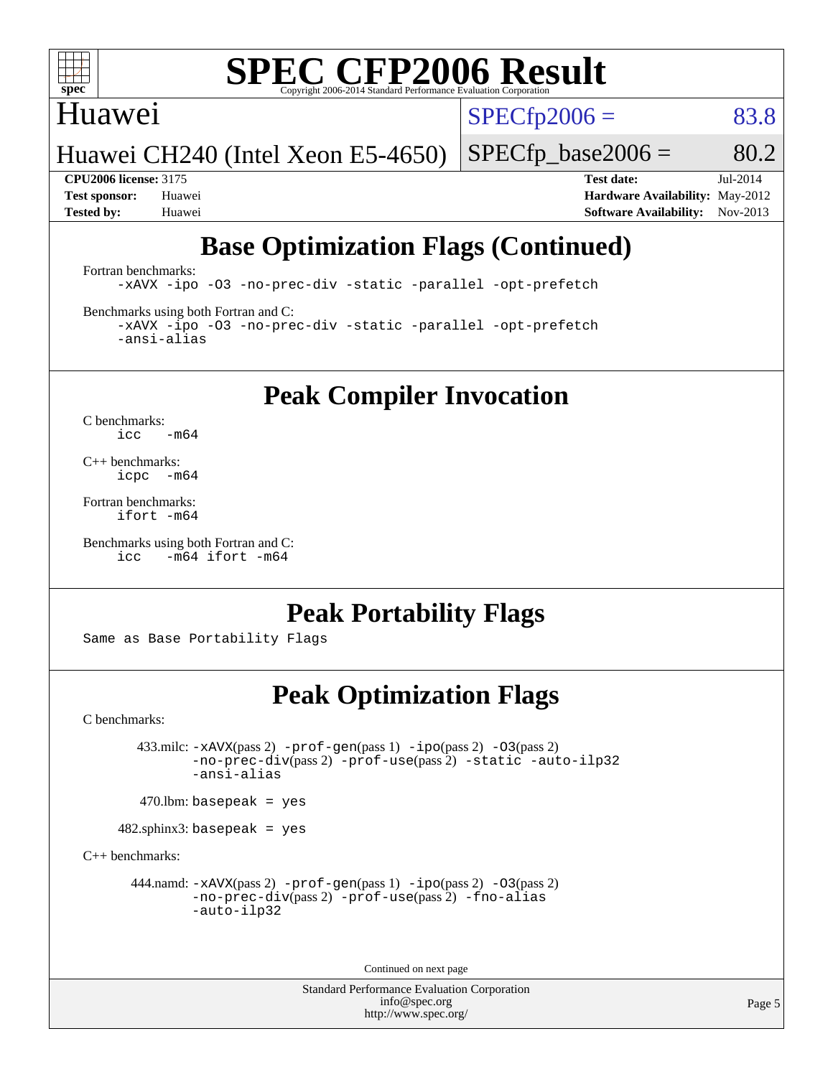

### Huawei

 $SPECTp2006 = 83.8$ 

Huawei CH240 (Intel Xeon E5-4650)

 $SPECTp\_base2006 = 80.2$ 

**[CPU2006 license:](http://www.spec.org/auto/cpu2006/Docs/result-fields.html#CPU2006license)** 3175 **[Test date:](http://www.spec.org/auto/cpu2006/Docs/result-fields.html#Testdate)** Jul-2014 **[Test sponsor:](http://www.spec.org/auto/cpu2006/Docs/result-fields.html#Testsponsor)** Huawei **[Hardware Availability:](http://www.spec.org/auto/cpu2006/Docs/result-fields.html#HardwareAvailability)** May-2012 **[Tested by:](http://www.spec.org/auto/cpu2006/Docs/result-fields.html#Testedby)** Huawei **[Software Availability:](http://www.spec.org/auto/cpu2006/Docs/result-fields.html#SoftwareAvailability)** Nov-2013

## **[Base Optimization Flags \(Continued\)](http://www.spec.org/auto/cpu2006/Docs/result-fields.html#BaseOptimizationFlags)**

[Fortran benchmarks](http://www.spec.org/auto/cpu2006/Docs/result-fields.html#Fortranbenchmarks):

[-xAVX](http://www.spec.org/cpu2006/results/res2014q3/cpu2006-20140717-30498.flags.html#user_FCbase_f-xAVX) [-ipo](http://www.spec.org/cpu2006/results/res2014q3/cpu2006-20140717-30498.flags.html#user_FCbase_f-ipo) [-O3](http://www.spec.org/cpu2006/results/res2014q3/cpu2006-20140717-30498.flags.html#user_FCbase_f-O3) [-no-prec-div](http://www.spec.org/cpu2006/results/res2014q3/cpu2006-20140717-30498.flags.html#user_FCbase_f-no-prec-div) [-static](http://www.spec.org/cpu2006/results/res2014q3/cpu2006-20140717-30498.flags.html#user_FCbase_f-static) [-parallel](http://www.spec.org/cpu2006/results/res2014q3/cpu2006-20140717-30498.flags.html#user_FCbase_f-parallel) [-opt-prefetch](http://www.spec.org/cpu2006/results/res2014q3/cpu2006-20140717-30498.flags.html#user_FCbase_f-opt-prefetch)

[Benchmarks using both Fortran and C](http://www.spec.org/auto/cpu2006/Docs/result-fields.html#BenchmarksusingbothFortranandC):

[-xAVX](http://www.spec.org/cpu2006/results/res2014q3/cpu2006-20140717-30498.flags.html#user_CC_FCbase_f-xAVX) [-ipo](http://www.spec.org/cpu2006/results/res2014q3/cpu2006-20140717-30498.flags.html#user_CC_FCbase_f-ipo) [-O3](http://www.spec.org/cpu2006/results/res2014q3/cpu2006-20140717-30498.flags.html#user_CC_FCbase_f-O3) [-no-prec-div](http://www.spec.org/cpu2006/results/res2014q3/cpu2006-20140717-30498.flags.html#user_CC_FCbase_f-no-prec-div) [-static](http://www.spec.org/cpu2006/results/res2014q3/cpu2006-20140717-30498.flags.html#user_CC_FCbase_f-static) [-parallel](http://www.spec.org/cpu2006/results/res2014q3/cpu2006-20140717-30498.flags.html#user_CC_FCbase_f-parallel) [-opt-prefetch](http://www.spec.org/cpu2006/results/res2014q3/cpu2006-20140717-30498.flags.html#user_CC_FCbase_f-opt-prefetch) [-ansi-alias](http://www.spec.org/cpu2006/results/res2014q3/cpu2006-20140717-30498.flags.html#user_CC_FCbase_f-ansi-alias)

**[Peak Compiler Invocation](http://www.spec.org/auto/cpu2006/Docs/result-fields.html#PeakCompilerInvocation)**

[C benchmarks](http://www.spec.org/auto/cpu2006/Docs/result-fields.html#Cbenchmarks):  $\text{icc}$  -m64

[C++ benchmarks:](http://www.spec.org/auto/cpu2006/Docs/result-fields.html#CXXbenchmarks) [icpc -m64](http://www.spec.org/cpu2006/results/res2014q3/cpu2006-20140717-30498.flags.html#user_CXXpeak_intel_icpc_64bit_bedb90c1146cab66620883ef4f41a67e)

[Fortran benchmarks](http://www.spec.org/auto/cpu2006/Docs/result-fields.html#Fortranbenchmarks): [ifort -m64](http://www.spec.org/cpu2006/results/res2014q3/cpu2006-20140717-30498.flags.html#user_FCpeak_intel_ifort_64bit_ee9d0fb25645d0210d97eb0527dcc06e)

[Benchmarks using both Fortran and C](http://www.spec.org/auto/cpu2006/Docs/result-fields.html#BenchmarksusingbothFortranandC): [icc -m64](http://www.spec.org/cpu2006/results/res2014q3/cpu2006-20140717-30498.flags.html#user_CC_FCpeak_intel_icc_64bit_0b7121f5ab7cfabee23d88897260401c) [ifort -m64](http://www.spec.org/cpu2006/results/res2014q3/cpu2006-20140717-30498.flags.html#user_CC_FCpeak_intel_ifort_64bit_ee9d0fb25645d0210d97eb0527dcc06e)

### **[Peak Portability Flags](http://www.spec.org/auto/cpu2006/Docs/result-fields.html#PeakPortabilityFlags)**

Same as Base Portability Flags

### **[Peak Optimization Flags](http://www.spec.org/auto/cpu2006/Docs/result-fields.html#PeakOptimizationFlags)**

[C benchmarks](http://www.spec.org/auto/cpu2006/Docs/result-fields.html#Cbenchmarks):

 433.milc: [-xAVX](http://www.spec.org/cpu2006/results/res2014q3/cpu2006-20140717-30498.flags.html#user_peakPASS2_CFLAGSPASS2_LDFLAGS433_milc_f-xAVX)(pass 2) [-prof-gen](http://www.spec.org/cpu2006/results/res2014q3/cpu2006-20140717-30498.flags.html#user_peakPASS1_CFLAGSPASS1_LDFLAGS433_milc_prof_gen_e43856698f6ca7b7e442dfd80e94a8fc)(pass 1) [-ipo](http://www.spec.org/cpu2006/results/res2014q3/cpu2006-20140717-30498.flags.html#user_peakPASS2_CFLAGSPASS2_LDFLAGS433_milc_f-ipo)(pass 2) [-O3](http://www.spec.org/cpu2006/results/res2014q3/cpu2006-20140717-30498.flags.html#user_peakPASS2_CFLAGSPASS2_LDFLAGS433_milc_f-O3)(pass 2) [-no-prec-div](http://www.spec.org/cpu2006/results/res2014q3/cpu2006-20140717-30498.flags.html#user_peakPASS2_CFLAGSPASS2_LDFLAGS433_milc_f-no-prec-div)(pass 2) [-prof-use](http://www.spec.org/cpu2006/results/res2014q3/cpu2006-20140717-30498.flags.html#user_peakPASS2_CFLAGSPASS2_LDFLAGS433_milc_prof_use_bccf7792157ff70d64e32fe3e1250b55)(pass 2) [-static](http://www.spec.org/cpu2006/results/res2014q3/cpu2006-20140717-30498.flags.html#user_peakOPTIMIZE433_milc_f-static) [-auto-ilp32](http://www.spec.org/cpu2006/results/res2014q3/cpu2006-20140717-30498.flags.html#user_peakCOPTIMIZE433_milc_f-auto-ilp32) [-ansi-alias](http://www.spec.org/cpu2006/results/res2014q3/cpu2006-20140717-30498.flags.html#user_peakCOPTIMIZE433_milc_f-ansi-alias)

 $470$ .lbm: basepeak = yes

482.sphinx3: basepeak = yes

[C++ benchmarks:](http://www.spec.org/auto/cpu2006/Docs/result-fields.html#CXXbenchmarks)

444.namd:  $-x$ AVX(pass 2)  $-p$ rof-gen(pass 1)  $-p$ po(pass 2)  $-03$ (pass 2) [-no-prec-div](http://www.spec.org/cpu2006/results/res2014q3/cpu2006-20140717-30498.flags.html#user_peakPASS2_CXXFLAGSPASS2_LDFLAGS444_namd_f-no-prec-div)(pass 2) [-prof-use](http://www.spec.org/cpu2006/results/res2014q3/cpu2006-20140717-30498.flags.html#user_peakPASS2_CXXFLAGSPASS2_LDFLAGS444_namd_prof_use_bccf7792157ff70d64e32fe3e1250b55)(pass 2) [-fno-alias](http://www.spec.org/cpu2006/results/res2014q3/cpu2006-20140717-30498.flags.html#user_peakCXXOPTIMIZEOPTIMIZE444_namd_f-no-alias_694e77f6c5a51e658e82ccff53a9e63a) [-auto-ilp32](http://www.spec.org/cpu2006/results/res2014q3/cpu2006-20140717-30498.flags.html#user_peakCXXOPTIMIZE444_namd_f-auto-ilp32)

Continued on next page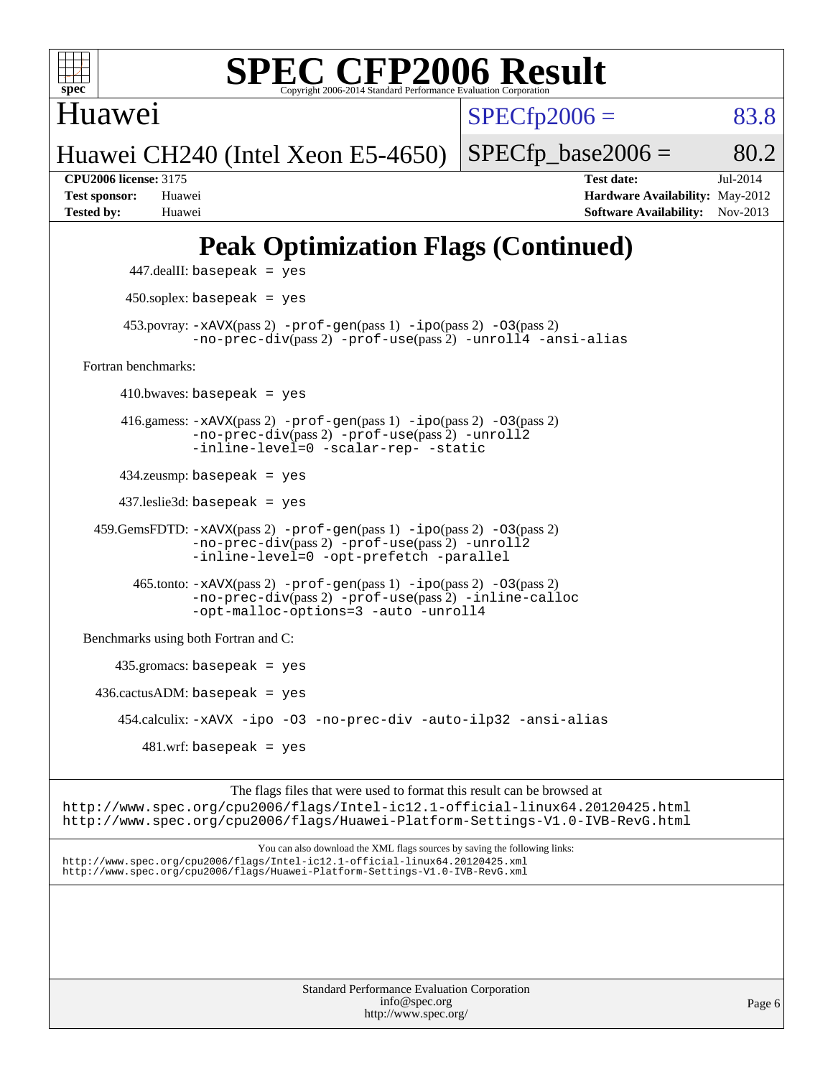

Huawei

 $SPECTp2006 = 83.8$ 

Huawei CH240 (Intel Xeon E5-4650)

 $SPECTp\_base2006 = 80.2$ 

**[CPU2006 license:](http://www.spec.org/auto/cpu2006/Docs/result-fields.html#CPU2006license)** 3175 **[Test date:](http://www.spec.org/auto/cpu2006/Docs/result-fields.html#Testdate)** Jul-2014 **[Test sponsor:](http://www.spec.org/auto/cpu2006/Docs/result-fields.html#Testsponsor)** Huawei **[Hardware Availability:](http://www.spec.org/auto/cpu2006/Docs/result-fields.html#HardwareAvailability)** May-2012 **[Tested by:](http://www.spec.org/auto/cpu2006/Docs/result-fields.html#Testedby)** Huawei **[Software Availability:](http://www.spec.org/auto/cpu2006/Docs/result-fields.html#SoftwareAvailability)** Nov-2013

## **[Peak Optimization Flags \(Continued\)](http://www.spec.org/auto/cpu2006/Docs/result-fields.html#PeakOptimizationFlags)**

```
Standard Performance Evaluation Corporation
                                               info@spec.org
                                             http://www.spec.org/
                                                                                                       Page 6
           447.dealII: basepeak = yes
          450.soplex: basepeak = yes
         453.povray: -xAVX(pass 2) -prof-gen(pass 1) -ipo(pass 2) -03(pass 2)
                   -no-prec-div(pass 2) -prof-use(pass 2) -unroll4 -ansi-alias
   Fortran benchmarks: 
        410.bwaves: basepeak = yes 416.gamess: -xAVX(pass 2) -prof-gen(pass 1) -ipo(pass 2) -O3(pass 2)
                   -no-prec-div(pass 2) -prof-use(pass 2) -unroll2
                   -inline-level=0 -scalar-rep- -static
         434.zeusmp: basepeak = yes
         437.leslie3d: basepeak = yes
     459.GemsFDTD: -xAVX(pass 2) -prof-gen(pass 1) -ipo(pass 2) -O3(pass 2)
                   -no-prec-div(pass 2) -prof-use(pass 2) -unroll2
                   -inline-level=0 -opt-prefetch -parallel
           465.tonto: -xAVX(pass 2) -prof-gen(pass 1) -ipo(pass 2) -O3(pass 2)
                   -no-prec-div(pass 2) -prof-use(pass 2) -inline-calloc
                   -opt-malloc-options=3-auto-unroll4
   Benchmarks using both Fortran and C: 
        435.gromacs: basepeak = yes
    436.cactusADM:basepeak = yes 454.calculix: -xAVX -ipo -O3 -no-prec-div -auto-ilp32 -ansi-alias
             481.wrf: basepeak = yes
                         The flags files that were used to format this result can be browsed at
http://www.spec.org/cpu2006/flags/Intel-ic12.1-official-linux64.20120425.html
http://www.spec.org/cpu2006/flags/Huawei-Platform-Settings-V1.0-IVB-RevG.html
                             You can also download the XML flags sources by saving the following links:
http://www.spec.org/cpu2006/flags/Intel-ic12.1-official-linux64.20120425.xml
http://www.spec.org/cpu2006/flags/Huawei-Platform-Settings-V1.0-IVB-RevG.xml
```